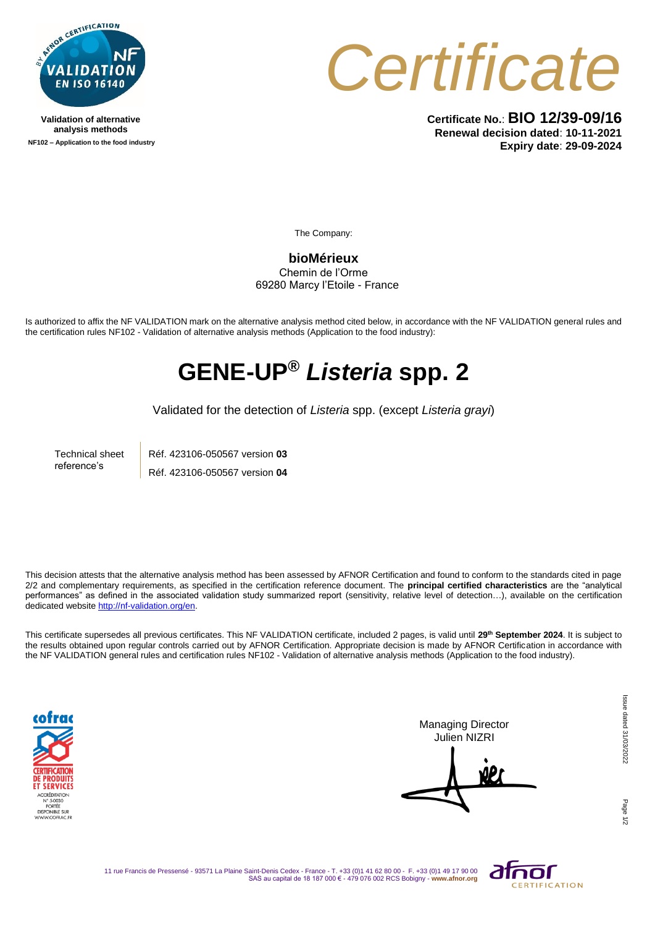

**Validation of alternative analysis methods NF102 – Application to the food industry**



**Certificate No.**: **BIO 12/39-09/16 Renewal decision dated**: **10-11-2021 Expiry date**: **29-09-2024**

The Company:

**bioMérieux** Chemin de l'Orme 69280 Marcy l'Etoile - France

Is authorized to affix the NF VALIDATION mark on the alternative analysis method cited below, in accordance with the NF VALIDATION general rules and the certification rules NF102 - Validation of alternative analysis methods (Application to the food industry):

## **GENE-UP®** *Listeria* **spp. 2**

Validated for the detection of *Listeria* spp. (except *Listeria grayi*)

Technical sheet reference's

Réf. 423106-050567 version **03** Réf. 423106-050567 version **04**

This decision attests that the alternative analysis method has been assessed by AFNOR Certification and found to conform to the standards cited in page 2/2 and complementary requirements, as specified in the certification reference document. The **principal certified characteristics** are the "analytical performances" as defined in the associated validation study summarized report (sensitivity, relative level of detection...), available on the certification dedicated websit[e http://nf-validation.org/en.](http://nf-validation.org/en)

This certificate supersedes all previous certificates. This NF VALIDATION certificate, included 2 pages, is valid until **29th September 2024**. It is subject to the results obtained upon regular controls carried out by AFNOR Certification. Appropriate decision is made by AFNOR Certification in accordance with the NF VALIDATION general rules and certification rules NF102 - Validation of alternative analysis methods (Application to the food industry).



Managing Director Julien NIZRI

Page